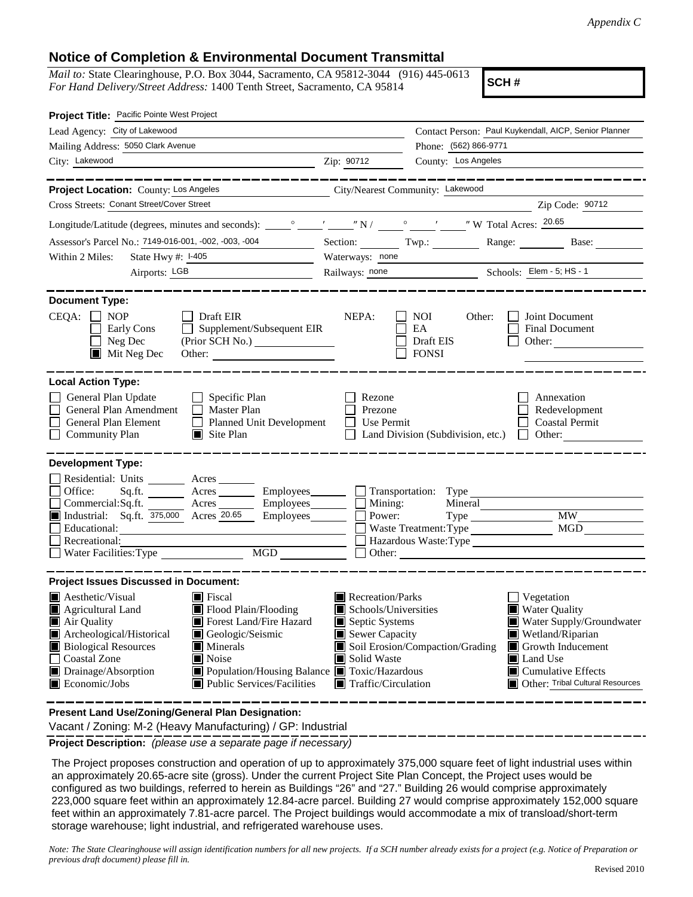## **Notice of Completion & Environmental Document Transmittal**

*Mail to:* State Clearinghouse, P.O. Box 3044, Sacramento, CA 95812-3044 (916) 445-0613 *For Hand Delivery/Street Address:* 1400 Tenth Street, Sacramento, CA 95814

**SCH #**

| Contact Person: Paul Kuykendall, AICP, Senior Planner<br>______________<br>Zip Code: 90712<br><u> 1980 - Johann Barnett, fransk politik (</u>                                                       |
|-----------------------------------------------------------------------------------------------------------------------------------------------------------------------------------------------------|
|                                                                                                                                                                                                     |
|                                                                                                                                                                                                     |
|                                                                                                                                                                                                     |
|                                                                                                                                                                                                     |
|                                                                                                                                                                                                     |
|                                                                                                                                                                                                     |
|                                                                                                                                                                                                     |
| Section: Twp.: Range: Base:                                                                                                                                                                         |
|                                                                                                                                                                                                     |
| Railways: none Schools: Elem - 5; HS - 1                                                                                                                                                            |
| Joint Document<br>Final Document<br>Other:                                                                                                                                                          |
| Annexation<br>Redevelopment<br><b>Coastal Permit</b><br>Land Division (Subdivision, etc.) $\Box$ Other:                                                                                             |
|                                                                                                                                                                                                     |
| <b>MW</b><br>MGD<br>Waste Treatment: Type<br>Other:                                                                                                                                                 |
|                                                                                                                                                                                                     |
| Vegetation<br><b>Water Quality</b><br>Water Supply/Groundwater<br>Wetland/Riparian<br>$\blacksquare$ Growth Inducement<br>Land Use<br>$\Box$ Cumulative Effects<br>Other: Tribal Cultural Resources |
|                                                                                                                                                                                                     |

**Present Land Use/Zoning/General Plan Designation:**

Vacant / Zoning: M-2 (Heavy Manufacturing) / GP: Industrial

**Project Description:** *(please use a separate page if necessary)*

 The Project proposes construction and operation of up to approximately 375,000 square feet of light industrial uses within an approximately 20.65-acre site (gross). Under the current Project Site Plan Concept, the Project uses would be configured as two buildings, referred to herein as Buildings "26" and "27." Building 26 would comprise approximately 223,000 square feet within an approximately 12.84-acre parcel. Building 27 would comprise approximately 152,000 square feet within an approximately 7.81-acre parcel. The Project buildings would accommodate a mix of transload/short-term storage warehouse; light industrial, and refrigerated warehouse uses.

*Note: The State Clearinghouse will assign identification numbers for all new projects. If a SCH number already exists for a project (e.g. Notice of Preparation or previous draft document) please fill in.*